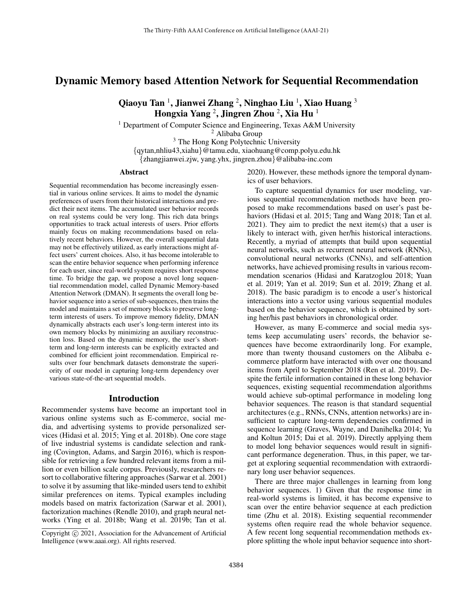# Dynamic Memory based Attention Network for Sequential Recommendation

Qiaoyu Tan  $^1$ , Jianwei Zhang  $^2$ , Ninghao Liu  $^1$ , Xiao Huang  $^3$ Hongxia Yang  $^2$ , Jingren Zhou  $^2$ , Xia Hu  $^1$ 

<sup>1</sup> Department of Computer Science and Engineering, Texas A&M University

<sup>2</sup> Alibaba Group

<sup>3</sup> The Hong Kong Polytechnic University

{qytan,nhliu43,xiahu}@tamu.edu, xiaohuang@comp.polyu.edu.hk {zhangjianwei.zjw, yang.yhx, jingren.zhou}@alibaba-inc.com

#### Abstract

Sequential recommendation has become increasingly essential in various online services. It aims to model the dynamic preferences of users from their historical interactions and predict their next items. The accumulated user behavior records on real systems could be very long. This rich data brings opportunities to track actual interests of users. Prior efforts mainly focus on making recommendations based on relatively recent behaviors. However, the overall sequential data may not be effectively utilized, as early interactions might affect users' current choices. Also, it has become intolerable to scan the entire behavior sequence when performing inference for each user, since real-world system requires short response time. To bridge the gap, we propose a novel long sequential recommendation model, called Dynamic Memory-based Attention Network (DMAN). It segments the overall long behavior sequence into a series of sub-sequences, then trains the model and maintains a set of memory blocks to preserve longterm interests of users. To improve memory fidelity, DMAN dynamically abstracts each user's long-term interest into its own memory blocks by minimizing an auxiliary reconstruction loss. Based on the dynamic memory, the user's shortterm and long-term interests can be explicitly extracted and combined for efficient joint recommendation. Empirical results over four benchmark datasets demonstrate the superiority of our model in capturing long-term dependency over various state-of-the-art sequential models.

## Introduction

Recommender systems have become an important tool in various online systems such as E-commerce, social media, and advertising systems to provide personalized services (Hidasi et al. 2015; Ying et al. 2018b). One core stage of live industrial systems is candidate selection and ranking (Covington, Adams, and Sargin 2016), which is responsible for retrieving a few hundred relevant items from a million or even billion scale corpus. Previously, researchers resort to collaborative filtering approaches (Sarwar et al. 2001) to solve it by assuming that like-minded users tend to exhibit similar preferences on items. Typical examples including models based on matrix factorization (Sarwar et al. 2001), factorization machines (Rendle 2010), and graph neural networks (Ying et al. 2018b; Wang et al. 2019b; Tan et al. 2020). However, these methods ignore the temporal dynamics of user behaviors.

To capture sequential dynamics for user modeling, various sequential recommendation methods have been proposed to make recommendations based on user's past behaviors (Hidasi et al. 2015; Tang and Wang 2018; Tan et al. 2021). They aim to predict the next item(s) that a user is likely to interact with, given her/his historical interactions. Recently, a myriad of attempts that build upon sequential neural networks, such as recurrent neural network (RNNs), convolutional neural networks (CNNs), and self-attention networks, have achieved promising results in various recommendation scenarios (Hidasi and Karatzoglou 2018; Yuan et al. 2019; Yan et al. 2019; Sun et al. 2019; Zhang et al. 2018). The basic paradigm is to encode a user's historical interactions into a vector using various sequential modules based on the behavior sequence, which is obtained by sorting her/his past behaviors in chronological order.

However, as many E-commerce and social media systems keep accumulating users' records, the behavior sequences have become extraordinarily long. For example, more than twenty thousand customers on the Alibaba ecommerce platform have interacted with over one thousand items from April to September 2018 (Ren et al. 2019). Despite the fertile information contained in these long behavior sequences, existing sequential recommendation algorithms would achieve sub-optimal performance in modeling long behavior sequences. The reason is that standard sequential architectures (e.g., RNNs, CNNs, attention networks) are insufficient to capture long-term dependencies confirmed in sequence learning (Graves, Wayne, and Danihelka 2014; Yu and Koltun 2015; Dai et al. 2019). Directly applying them to model long behavior sequences would result in significant performance degeneration. Thus, in this paper, we target at exploring sequential recommendation with extraordinary long user behavior sequences.

There are three major challenges in learning from long behavior sequences. 1) Given that the response time in real-world systems is limited, it has become expensive to scan over the entire behavior sequence at each prediction time (Zhu et al. 2018). Existing sequential recommender systems often require read the whole behavior sequence. A few recent long sequential recommendation methods explore splitting the whole input behavior sequence into short-

Copyright  $\odot$  2021, Association for the Advancement of Artificial Intelligence (www.aaai.org). All rights reserved.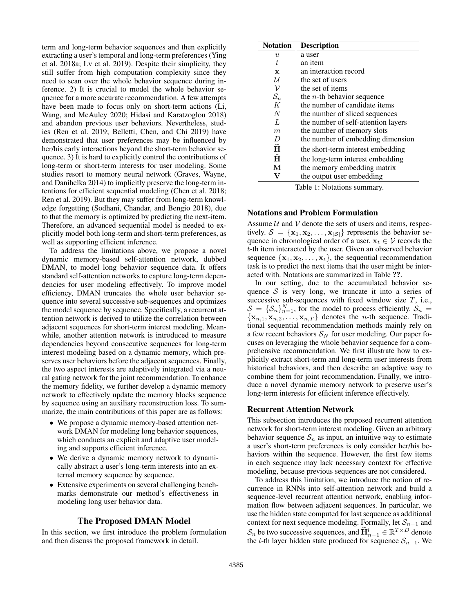term and long-term behavior sequences and then explicitly extracting a user's temporal and long-term preferences (Ying et al. 2018a; Lv et al. 2019). Despite their simplicity, they still suffer from high computation complexity since they need to scan over the whole behavior sequence during inference. 2) It is crucial to model the whole behavior sequence for a more accurate recommendation. A few attempts have been made to focus only on short-term actions (Li, Wang, and McAuley 2020; Hidasi and Karatzoglou 2018) and abandon previous user behaviors. Nevertheless, studies (Ren et al. 2019; Belletti, Chen, and Chi 2019) have demonstrated that user preferences may be influenced by her/his early interactions beyond the short-term behavior sequence. 3) It is hard to explicitly control the contributions of long-term or short-term interests for user modeling. Some studies resort to memory neural network (Graves, Wayne, and Danihelka 2014) to implicitly preserve the long-term intentions for efficient sequential modeling (Chen et al. 2018; Ren et al. 2019). But they may suffer from long-term knowledge forgetting (Sodhani, Chandar, and Bengio 2018), due to that the memory is optimized by predicting the next-item. Therefore, an advanced sequential model is needed to explicitly model both long-term and short-term preferences, as well as supporting efficient inference.

To address the limitations above, we propose a novel dynamic memory-based self-attention network, dubbed DMAN, to model long behavior sequence data. It offers standard self-attention networks to capture long-term dependencies for user modeling effectively. To improve model efficiency, DMAN truncates the whole user behavior sequence into several successive sub-sequences and optimizes the model sequence by sequence. Specifically, a recurrent attention network is derived to utilize the correlation between adjacent sequences for short-term interest modeling. Meanwhile, another attention network is introduced to measure dependencies beyond consecutive sequences for long-term interest modeling based on a dynamic memory, which preserves user behaviors before the adjacent sequences. Finally, the two aspect interests are adaptively integrated via a neural gating network for the joint recommendation. To enhance the memory fidelity, we further develop a dynamic memory network to effectively update the memory blocks sequence by sequence using an auxiliary reconstruction loss. To summarize, the main contributions of this paper are as follows:

- We propose a dynamic memory-based attention network DMAN for modeling long behavior sequences, which conducts an explicit and adaptive user modeling and supports efficient inference.
- We derive a dynamic memory network to dynamically abstract a user's long-term interests into an external memory sequence by sequence.
- Extensive experiments on several challenging benchmarks demonstrate our method's effectiveness in modeling long user behavior data.

## The Proposed DMAN Model

In this section, we first introduce the problem formulation and then discuss the proposed framework in detail.

| <b>Notation</b>      | <b>Description</b>                  |  |  |  |
|----------------------|-------------------------------------|--|--|--|
| $\boldsymbol{u}$     | a user                              |  |  |  |
| t                    | an item                             |  |  |  |
| $\mathbf x$          | an interaction record               |  |  |  |
| U                    | the set of users                    |  |  |  |
| ν                    | the set of items                    |  |  |  |
| $\mathcal{S}_n$      | the <i>n</i> -th behavior sequence  |  |  |  |
| K                    | the number of candidate items       |  |  |  |
| N                    | the number of sliced sequences      |  |  |  |
| L                    | the number of self-attention layers |  |  |  |
| m                    | the number of memory slots          |  |  |  |
| D                    | the number of embedding dimension   |  |  |  |
| $\tilde{\textbf{H}}$ | the short-term interest embedding   |  |  |  |
| Ħ                    | the long-term interest embedding    |  |  |  |
| М                    | the memory embedding matrix         |  |  |  |
|                      | the output user embedding           |  |  |  |

Table 1: Notations summary.

## Notations and Problem Formulation

Assume  $U$  and  $V$  denote the sets of users and items, respectively.  $S = {\mathbf{x}_1, \mathbf{x}_2, ..., \mathbf{x}_{|\mathcal{S}|}}$  represents the behavior sequence in chronological order of a user.  $x_t \in V$  records the t-th item interacted by the user. Given an observed behavior sequence  $\{x_1, x_2, \ldots, x_t\}$ , the sequential recommendation task is to predict the next items that the user might be interacted with. Notations are summarized in Table ??.

In our setting, due to the accumulated behavior sequence  $S$  is very long, we truncate it into a series of successive sub-sequences with fixed window size  $T$ , i.e.,  $S = {\mathcal{S}_n}_{n=1}^N$ , for the model to process efficiently.  $S_n =$  ${x_{n,1}, x_{n,2}, \ldots, x_{n,T}}$  denotes the *n*-th sequence. Traditional sequential recommendation methods mainly rely on a few recent behaviors  $S_N$  for user modeling. Our paper focuses on leveraging the whole behavior sequence for a comprehensive recommendation. We first illustrate how to explicitly extract short-term and long-term user interests from historical behaviors, and then describe an adaptive way to combine them for joint recommendation. Finally, we introduce a novel dynamic memory network to preserve user's long-term interests for efficient inference effectively.

#### Recurrent Attention Network

This subsection introduces the proposed recurrent attention network for short-term interest modeling. Given an arbitrary behavior sequence  $S_n$  as input, an intuitive way to estimate a user's short-term preferences is only consider her/his behaviors within the sequence. However, the first few items in each sequence may lack necessary context for effective modeling, because previous sequences are not considered.

To address this limitation, we introduce the notion of recurrence in RNNs into self-attention network and build a sequence-level recurrent attention network, enabling information flow between adjacent sequences. In particular, we use the hidden state computed for last sequence as additional context for next sequence modeling. Formally, let  $S_{n-1}$  and  $S_n$  be two successive sequences, and  $\widetilde{H}_{n-1}^l \in \mathbb{R}^{T \times D}$  denote the l-th layer hidden state produced for sequence  $S_{n-1}$ . We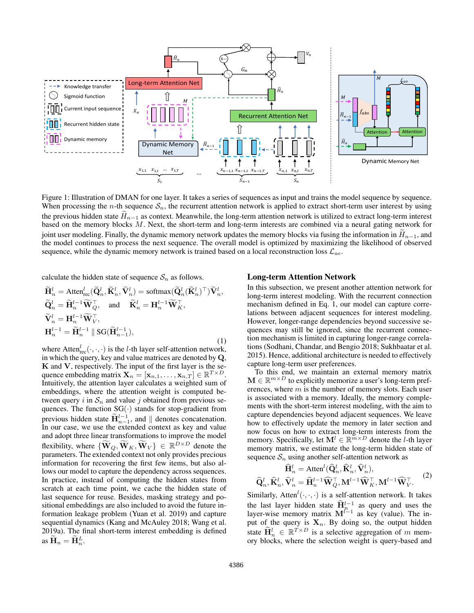

Figure 1: Illustration of DMAN for one layer. It takes a series of sequences as input and trains the model sequence by sequence. When processing the *n*-th sequence  $S_n$ , the recurrent attention network is applied to extract short-term user interest by using the previous hidden state  $H_{n-1}$  as context. Meanwhile, the long-term attention network is utilized to extract long-term interest based on the memory blocks M. Next, the short-term and long-term interests are combined via a neural gating network for joint user modeling. Finally, the dynamic memory network updates the memory blocks via fusing the information in  $H_{n-1}$ , and the model continues to process the next sequence. The overall model is optimized by maximizing the likelihood of observed sequence, while the dynamic memory network is trained based on a local reconstruction loss  $\mathcal{L}_{ae}$ .

calculate the hidden state of sequence  $S_n$  as follows.

$$
\widetilde{\mathbf{H}}_{n}^{l} = \text{Atten}_{\text{rec}}^{l}(\widetilde{\mathbf{Q}}_{n}^{l}, \widetilde{\mathbf{K}}_{n}^{l}, \widetilde{\mathbf{V}}_{n}^{l}) = \text{softmax}(\widetilde{\mathbf{Q}}_{n}^{l}(\widetilde{\mathbf{K}}_{n}^{l})^{\top})\widetilde{\mathbf{V}}_{n}^{l}, \n\widetilde{\mathbf{Q}}_{n}^{l} = \widetilde{\mathbf{H}}_{n}^{l-1}\widetilde{\mathbf{W}}_{Q}^{\top}, \text{ and } \widetilde{\mathbf{K}}_{n}^{l} = \mathbf{H}_{n}^{l-1}\widetilde{\mathbf{W}}_{K}^{\top}, \n\widetilde{\mathbf{V}}_{n}^{l} = \mathbf{H}_{n}^{l-1}\widetilde{\mathbf{W}}_{V}^{\top}, \n\mathbf{H}_{n}^{l-1} = \widetilde{\mathbf{H}}_{n}^{l-1} \parallel \text{SG}(\widetilde{\mathbf{H}}_{n-1}^{l-1}),
$$
\n(1)

where Atten ${}_{\text{rec}}^l(\cdot,\cdot,\cdot)$  is the *l*-th layer self-attention network, in which the query, key and value matrices are denoted by Q,  $K$  and  $V$ , respectively. The input of the first layer is the sequence embedding matrix  $\mathbf{X}_n = [\mathbf{x}_{n,1}, \dots, \mathbf{x}_{n,T}] \in \mathbb{R}^{T \times D}$ . Intuitively, the attention layer calculates a weighted sum of embeddings, where the attention weight is computed between query i in  $S_n$  and value j obtained from previous sequences. The function  $SG(\cdot)$  stands for stop-gradient from previous hidden state  $\widetilde{H}_{n-1}^{l-1}$ , and  $\parallel$  denotes concatenation. In our case, we use the extended context as key and value and adopt three linear transformations to improve the model flexibility, where  $\{\widetilde{\mathbf{W}}_{Q}, \widetilde{\mathbf{W}}_{K}, \widetilde{\mathbf{W}}_{V}\} \in \mathbb{R}^{D \times D}$  denote the parameters. The extended context not only provides precious information for recovering the first few items, but also allows our model to capture the dependency across sequences. In practice, instead of computing the hidden states from scratch at each time point, we cache the hidden state of last sequence for reuse. Besides, masking strategy and positional embeddings are also included to avoid the future information leakage problem (Yuan et al. 2019) and capture sequential dynamics (Kang and McAuley 2018; Wang et al. 2019a). The final short-term interest embedding is defined as  $\widetilde{\mathbf{H}}_n = \widetilde{\mathbf{H}}_n^L$ .

#### Long-term Attention Network

In this subsection, we present another attention network for long-term interest modeling. With the recurrent connection mechanism defined in Eq. 1, our model can capture correlations between adjacent sequences for interest modeling. However, longer-range dependencies beyond successive sequences may still be ignored, since the recurrent connection mechanism is limited in capturing longer-range correlations (Sodhani, Chandar, and Bengio 2018; Sukhbaatar et al. 2015). Hence, additional architecture is needed to effectively capture long-term user preferences.

To this end, we maintain an external memory matrix  $\mathbf{M} \in \mathbb{R}^{m \times D}$  to explicitly memorize a user's long-term preferences, where  $m$  is the number of memory slots. Each user is associated with a memory. Ideally, the memory complements with the short-term interest modeling, with the aim to capture dependencies beyond adjacent sequences. We leave how to effectively update the memory in later section and now focus on how to extract long-term interests from the memory. Specifically, let  $\mathbf{M}^l \in \mathbb{R}^{\widetilde{m} \times D}$  denote the *l*-th layer memory matrix, we estimate the long-term hidden state of sequence  $S_n$  using another self-attention network as

$$
\widehat{\mathbf{H}}_n^l = \text{Atten}^l(\widehat{\mathbf{Q}}_n^l, \widehat{\mathbf{K}}_n^l, \widehat{\mathbf{V}}_n^l),
$$
  

$$
\widehat{\mathbf{Q}}_n^l, \widehat{\mathbf{K}}_n^l, \widehat{\mathbf{V}}_n^l = \widehat{\mathbf{H}}_n^{l-1} \widehat{\mathbf{W}}_Q^{\top}, \mathbf{M}^{l-1} \widehat{\mathbf{W}}_K^{\top}, \mathbf{M}^{l-1} \widehat{\mathbf{W}}_V^{\top}. \tag{2}
$$

Similarly, Atten<sup> $l(\cdot, \cdot, \cdot)$ </sup> is a self-attention network. It takes the last layer hidden state  $\hat{H}_n^{l-1}$  as query and uses the layer-wise memory matrix  $M^{l-1}$  as key (value). The input of the query is  $X_n$ . By doing so, the output hidden state  $\widehat{\mathbf{H}}_n^l \in \mathbb{R}^{T \times D}$  is a selective aggregation of m memory blocks, where the selection weight is query-based and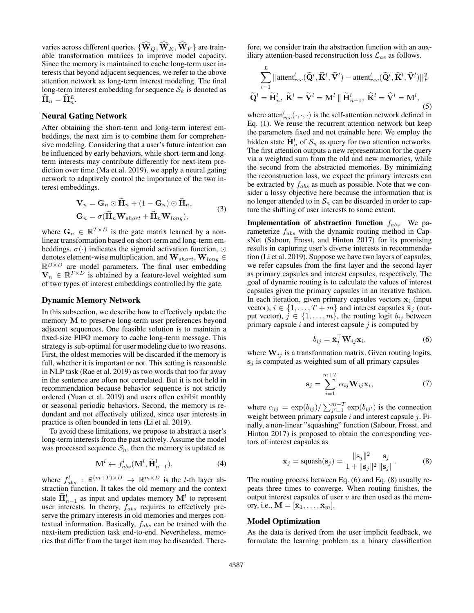varies across different queries.  $\{\widehat{\mathbf{W}}_{Q}, \widehat{\mathbf{W}}_{K}, \widehat{\mathbf{W}}_{V}\}\$ are trainable transformation matrices to improve model capacity. Since the memory is maintained to cache long-term user interests that beyond adjacent sequences, we refer to the above attention network as long-term interest modeling. The final long-term interest embedding for sequence  $S_k$  is denoted as  $\hat{\mathbf{H}}_n = \hat{\mathbf{H}}_n^L.$ 

#### Neural Gating Network

After obtaining the short-term and long-term interest embeddings, the next aim is to combine them for comprehensive modeling. Considering that a user's future intention can be influenced by early behaviors, while short-term and longterm interests may contribute differently for next-item prediction over time (Ma et al. 2019), we apply a neural gating network to adaptively control the importance of the two interest embeddings.

$$
\mathbf{V}_n = \mathbf{G}_n \odot \mathbf{H}_n + (1 - \mathbf{G}_n) \odot \mathbf{H}_n,
$$
  
\n
$$
\mathbf{G}_n = \sigma(\widetilde{\mathbf{H}}_n \mathbf{W}_{short} + \widehat{\mathbf{H}}_n \mathbf{W}_{long}),
$$
\n(3)

where  $\mathbf{G}_n \in \mathbb{R}^{T \times D}$  is the gate matrix learned by a nonlinear transformation based on short-term and long-term embeddings.  $\sigma(\cdot)$  indicates the sigmoid activation function,  $\odot$ denotes element-wise multiplication, and  $\mathbf{W}_{short},\mathbf{W}_{long} \in$  $\mathbb{R}^{D\times D}$  are model parameters. The final user embedding  $\mathbf{V}_n \in \mathbb{R}^{T \times D}$  is obtained by a feature-level weighted sum of two types of interest embeddings controlled by the gate.

#### Dynamic Memory Network

In this subsection, we describe how to effectively update the memory M to preserve long-term user preferences beyond adjacent sequences. One feasible solution is to maintain a fixed-size FIFO memory to cache long-term message. This strategy is sub-optimal for user modeling due to two reasons. First, the oldest memories will be discarded if the memory is full, whether it is important or not. This setting is reasonable in NLP task (Rae et al. 2019) as two words that too far away in the sentence are often not correlated. But it is not held in recommendation because behavior sequence is not strictly ordered (Yuan et al. 2019) and users often exhibit monthly or seasonal periodic behaviors. Second, the memory is redundant and not effectively utilized, since user interests in practice is often bounded in tens (Li et al. 2019).

To avoid these limitations, we propose to abstract a user's long-term interests from the past actively. Assume the model was processed sequence  $S_n$ , then the memory is updated as

$$
\mathbf{M}^{l} \leftarrow f_{abs}^{l}(\mathbf{M}^{l}, \widetilde{\mathbf{H}}_{n-1}^{l}),
$$
\n(4)

where  $f_{abs}^l : \mathbb{R}^{(m+T) \times D} \rightarrow \mathbb{R}^{m \times D}$  is the *l*-th layer abstraction function. It takes the old memory and the context state  $\widetilde{\mathbf{H}}_{n-1}^{l}$  as input and updates memory  $\mathbf{M}^{l}$  to represent user interests. In theory,  $f_{abs}$  requires to effectively preserve the primary interests in old memories and merges contextual information. Basically,  $f_{abs}$  can be trained with the next-item prediction task end-to-end. Nevertheless, memories that differ from the target item may be discarded. There-

fore, we consider train the abstraction function with an auxiliary attention-based reconstruction loss  $\mathcal{L}_{ae}$  as follows.

$$
\sum_{l=1}^{L} ||\operatorname{attent}_{rec}^{l}(\widetilde{\mathbf{Q}}^{l}, \widetilde{\mathbf{K}}^{l}, \widetilde{\mathbf{V}}^{l}) - \operatorname{attent}_{rec}^{l}(\widetilde{\mathbf{Q}}^{l}, \widehat{\mathbf{K}}^{l}, \widehat{\mathbf{V}}^{l})||_{F}^{2}
$$

$$
\widetilde{\mathbf{Q}}^{l} = \widetilde{\mathbf{H}}_{n}^{l}, \ \widetilde{\mathbf{K}}^{l} = \widetilde{\mathbf{V}}^{l} = \mathbf{M}^{l} || \widetilde{\mathbf{H}}_{n-1}^{l}, \ \widehat{\mathbf{K}}^{l} = \widehat{\mathbf{V}}^{l} = \mathbf{M}^{l}, \tag{5}
$$

where atten $_{rec}^{l}(\cdot, \cdot, \cdot)$  is the self-attention network defined in Eq. (1). We reuse the recurrent attention network but keep the parameters fixed and not trainable here. We employ the hidden state  $\tilde{H}_n^l$  of  $S_n$  as query for two attention networks. The first attention outputs a new representation for the query via a weighted sum from the old and new memories, while the second from the abstracted memories. By minimizing the reconstruction loss, we expect the primary interests can be extracted by  $f_{abs}$  as much as possible. Note that we consider a lossy objective here because the information that is no longer attended to in  $S_n$  can be discarded in order to capture the shifting of user interests to some extent.

**Implementation of abstraction function**  $f_{abs}$  We parameterize  $f_{abs}$  with the dynamic routing method in CapsNet (Sabour, Frosst, and Hinton 2017) for its promising results in capturing user's diverse interests in recommendation (Li et al. 2019). Suppose we have two layers of capsules, we refer capsules from the first layer and the second layer as primary capsules and interest capsules, respectively. The goal of dynamic routing is to calculate the values of interest capsules given the primary capsules in an iterative fashion. In each iteration, given primary capsules vectors  $x_i$  (input vector),  $i \in \{1, \ldots, T + m\}$  and interest capsules  $\bar{\mathbf{x}}_i$  (output vector),  $j \in \{1, \ldots, m\}$ , the routing logit  $b_{ij}$  between primary capsule  $i$  and interest capsule  $j$  is computed by

$$
b_{ij} = \bar{\mathbf{x}}_j^\top \mathbf{W}_{ij} \mathbf{x}_i, \tag{6}
$$

where  $W_{ij}$  is a transformation matrix. Given routing logits,  $s_i$  is computed as weighted sum of all primary capsules

$$
\mathbf{s}_{j} = \sum_{i=1}^{m+T} \alpha_{ij} \mathbf{W}_{ij} \mathbf{x}_{i},
$$
 (7)

where  $\alpha_{ij} = \exp(b_{ij}) / \sum_{j'=1}^{m+T} \exp(b_{ij'})$  is the connection weight between primary capsule  $i$  and interest capsule  $j$ . Finally, a non-linear "squashing" function (Sabour, Frosst, and Hinton 2017) is proposed to obtain the corresponding vectors of interest capsules as

$$
\bar{\mathbf{x}}_j = \text{squash}(\mathbf{s}_j) = \frac{\|\mathbf{s}_j\|^2}{1 + \|\mathbf{s}_j\|^2} \frac{\mathbf{s}_j}{\|\mathbf{s}_j\|}.
$$
 (8)

The routing process between Eq. (6) and Eq. (8) usually repeats three times to converge. When routing finishes, the output interest capsules of user  $u$  are then used as the memory, i.e.,  $\mathbf{M} = [\bar{\mathbf{x}}_1, \dots, \bar{\mathbf{x}}_m].$ 

#### Model Optimization

As the data is derived from the user implicit feedback, we formulate the learning problem as a binary classification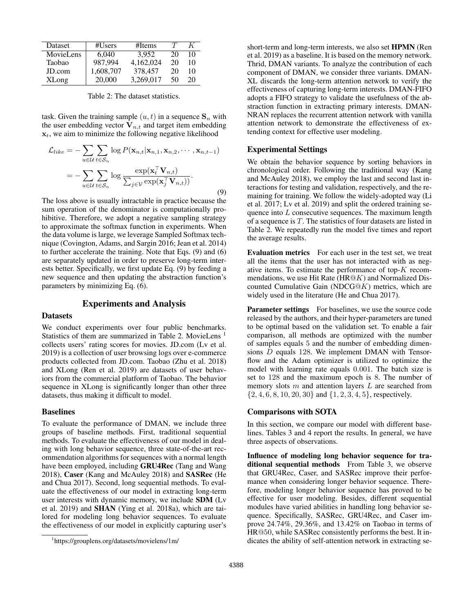| Dataset      | #Users    | #Items    |    | K  |
|--------------|-----------|-----------|----|----|
| MovieLens    | 6.040     | 3.952     | 20 | 10 |
| Taobao       | 987.994   | 4,162,024 | 20 | 10 |
| JD.com       | 1,608,707 | 378,457   | 20 | 10 |
| <b>XLong</b> | 20,000    | 3,269,017 | 50 | 20 |

Table 2: The dataset statistics.

task. Given the training sample  $(u, t)$  in a sequence  $S_n$  with the user embedding vector  $V_{n,t}$  and target item embedding  $x_t$ , we aim to minimize the following negative likelihood

$$
\mathcal{L}_{like} = -\sum_{u \in \mathcal{U}} \sum_{t \in \mathcal{S}_n} \log P(\mathbf{x}_{n,t} | \mathbf{x}_{n,1}, \mathbf{x}_{n,2}, \cdots, \mathbf{x}_{n,t-1})
$$
\n
$$
= -\sum_{u \in \mathcal{U}} \sum_{t \in \mathcal{S}_n} \log \frac{\exp(\mathbf{x}_t^{\top} \mathbf{V}_{n,t})}{\sum_{j \in \mathcal{V}} \exp(\mathbf{x}_j^{\top} \mathbf{V}_{n,t}))}.
$$
\n(9)

The loss above is usually intractable in practice because the sum operation of the denominator is computationally prohibitive. Therefore, we adopt a negative sampling strategy to approximate the softmax function in experiments. When the data volume is large, we leverage Sampled Softmax technique (Covington, Adams, and Sargin 2016; Jean et al. 2014) to further accelerate the training. Note that Eqs. (9) and (6) are separately updated in order to preserve long-term interests better. Specifically, we first update Eq. (9) by feeding a new sequence and then updating the abstraction function's parameters by minimizing Eq. (6).

## Experiments and Analysis

#### Datasets

We conduct experiments over four public benchmarks. Statistics of them are summarized in Table 2. MovieLens <sup>1</sup> collects users' rating scores for movies. JD.com (Lv et al. 2019) is a collection of user browsing logs over e-commerce products collected from JD.com. Taobao (Zhu et al. 2018) and XLong (Ren et al. 2019) are datasets of user behaviors from the commercial platform of Taobao. The behavior sequence in XLong is significantly longer than other three datasets, thus making it difficult to model.

#### Baselines

To evaluate the performance of DMAN, we include three groups of baseline methods. First, traditional sequential methods. To evaluate the effectiveness of our model in dealing with long behavior sequence, three state-of-the-art recommendation algorithms for sequences with a normal length have been employed, including GRU4Rec (Tang and Wang 2018), Caser (Kang and McAuley 2018) and SASRec (He and Chua 2017). Second, long sequential methods. To evaluate the effectiveness of our model in extracting long-term user interests with dynamic memory, we include SDM (Lv et al. 2019) and SHAN (Ying et al. 2018a), which are tailored for modeling long behavior sequences. To evaluate the effectiveness of our model in explicitly capturing user's

short-term and long-term interests, we also set HPMN (Ren et al. 2019) as a baseline. It is based on the memory network. Thrid, DMAN variants. To analyze the contribution of each component of DMAN, we consider three variants. DMAN-XL discards the long-term attention network to verify the effectiveness of capturing long-term interests. DMAN-FIFO adopts a FIFO strategy to validate the usefulness of the abstraction function in extracting primary interests. DMAN-NRAN replaces the recurrent attention network with vanilla attention network to demonstrate the effectiveness of extending context for effective user modeling.

#### Experimental Settings

We obtain the behavior sequence by sorting behaviors in chronological order. Following the traditional way (Kang and McAuley 2018), we employ the last and second last interactions for testing and validation, respectively, and the remaining for training. We follow the widely-adopted way (Li et al. 2017; Lv et al. 2019) and split the ordered training sequence into L consecutive sequences. The maximum length of a sequence is T. The statistics of four datasets are listed in Table 2. We repeatedly run the model five times and report the average results.

Evaluation metrics For each user in the test set, we treat all the items that the user has not interacted with as negative items. To estimate the performance of top-K recommendations, we use Hit Rate (HR $@K$ ) and Normalized Discounted Cumulative Gain (NDCG $@K$ ) metrics, which are widely used in the literature (He and Chua 2017).

Parameter settings For baselines, we use the source code released by the authors, and their hyper-parameters are tuned to be optimal based on the validation set. To enable a fair comparison, all methods are optimized with the number of samples equals 5 and the number of embedding dimensions D equals 128. We implement DMAN with Tensorflow and the Adam optimizer is utilized to optimize the model with learning rate equals 0.001. The batch size is set to 128 and the maximum epoch is 8. The number of memory slots  $m$  and attention layers  $L$  are searched from {2, 4, 6, 8, 10, 20, 30} and {1, 2, 3, 4, 5}, respectively.

#### Comparisons with SOTA

In this section, we compare our model with different baselines. Tables 3 and 4 report the results. In general, we have three aspects of observations.

Influence of modeling long behavior sequence for traditional sequential methods From Table 3, we observe that GRU4Rec, Caser, and SASRec improve their performance when considering longer behavior sequence. Therefore, modeling longer behavior sequence has proved to be effective for user modeling. Besides, different sequential modules have varied abilities in handling long behavior sequence. Specifically, SASRec, GRU4Rec, and Caser improve 24.74%, 29.36%, and 13.42% on Taobao in terms of HR@50, while SASRec consistently performs the best. It indicates the ability of self-attention network in extracting se-

<sup>1</sup> https://grouplens.org/datasets/movielens/1m/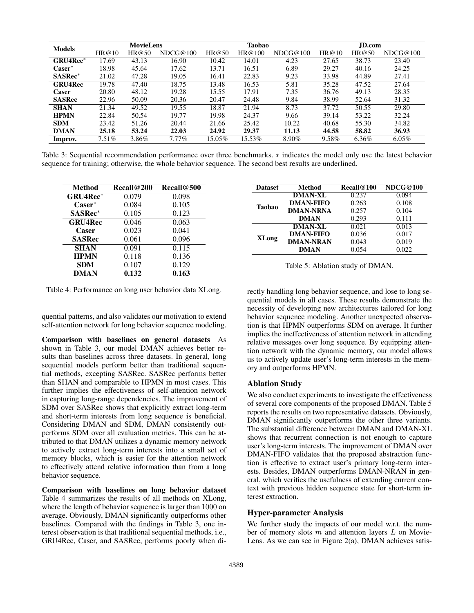|                 | <b>MovieLens</b> |       | Taobao   |        | JD.com |          |       |       |          |
|-----------------|------------------|-------|----------|--------|--------|----------|-------|-------|----------|
| <b>Models</b>   | HR@10            | HR@50 | NDCG@100 | HR@50  | HR@100 | NDCG@100 | HR@10 | HR@50 | NDCG@100 |
| <b>GRU4Rec*</b> | 17.69            | 43.13 | 16.90    | 10.42  | 14.01  | 4.23     | 27.65 | 38.73 | 23.40    |
| $\bf Case$      | 18.98            | 45.64 | 17.62    | 13.71  | 16.51  | 6.89     | 29.27 | 40.16 | 24.25    |
| <b>SASRec*</b>  | 21.02            | 47.28 | 19.05    | 16.41  | 22.83  | 9.23     | 33.98 | 44.89 | 27.41    |
| <b>GRU4Rec</b>  | 19.78            | 47.40 | 18.75    | 13.48  | 16.53  | 5.81     | 35.28 | 47.52 | 27.64    |
| Caser           | 20.80            | 48.12 | 19.28    | 15.55  | 17.91  | 7.35     | 36.76 | 49.13 | 28.35    |
| <b>SASRec</b>   | 22.96            | 50.09 | 20.36    | 20.47  | 24.48  | 9.84     | 38.99 | 52.64 | 31.32    |
| <b>SHAN</b>     | 21.34            | 49.52 | 19.55    | 18.87  | 21.94  | 8.73     | 37.72 | 50.55 | 29.80    |
| <b>HPMN</b>     | 22.84            | 50.54 | 19.77    | 19.98  | 24.37  | 9.66     | 39.14 | 53.22 | 32.24    |
| <b>SDM</b>      | 23.42            | 51.26 | 20.44    | 21.66  | 25.42  | 10.22    | 40.68 | 55.30 | 34.82    |
| <b>DMAN</b>     | 25.18            | 53.24 | 22.03    | 24.92  | 29.37  | 11.13    | 44.58 | 58.82 | 36.93    |
| Improv.         | $7.51\%$         | 3.86% | $7.77\%$ | 15.05% | 15.53% | 8.90%    | 9.58% | 6.36% | $6.05\%$ |

Table 3: Sequential recommendation performance over three benchmarks. ∗ indicates the model only use the latest behavior sequence for training; otherwise, the whole behavior sequence. The second best results are underlined.

| <b>Method</b>    | <b>Recall@200</b> | Recall@500         |
|------------------|-------------------|--------------------|
| <b>GRU4Rec*</b>  | 0.079             | 0.098              |
| $\text{Caser}^*$ | 0.084             | 0.105              |
| <b>SASRec*</b>   | 0.105             | 0.123              |
| <b>GRU4Rec</b>   | 0.046             | 0.063              |
| Caser            | 0.023             | 0.041              |
| <b>SASRec</b>    | 0.061             | 0.096              |
| <b>SHAN</b>      | 0.091             | $\overline{0.1}15$ |
| <b>HPMN</b>      | 0.118             | 0.136              |
| <b>SDM</b>       | 0.107             | 0.129              |
| DMAN             | 0.132             | 0.163              |

Dataset Method Recall@100 NDCG@100 Taobao **DMAN-XL** 0.237 0.094<br>**DMAN-FIFO** 0.263 0.108 DMAN-FIFO **DMAN-NRNA** 0.257 0.104<br>**DMAN** 0.293 0.111 DMAN XLong **DMAN-XL** 0.021 0.013 **DMAN-FIFO** 0.036 0.017 DMAN-NRAN 0.043 0.019 **DMAN** 0.054 0.022

Table 5: Ablation study of DMAN.

Table 4: Performance on long user behavior data XLong.

quential patterns, and also validates our motivation to extend self-attention network for long behavior sequence modeling.

Comparison with baselines on general datasets As shown in Table 3, our model DMAN achieves better results than baselines across three datasets. In general, long sequential models perform better than traditional sequential methods, excepting SASRec. SASRec performs better than SHAN and comparable to HPMN in most cases. This further implies the effectiveness of self-attention network in capturing long-range dependencies. The improvement of SDM over SASRec shows that explicitly extract long-term and short-term interests from long sequence is beneficial. Considering DMAN and SDM, DMAN consistently outperforms SDM over all evaluation metrics. This can be attributed to that DMAN utilizes a dynamic memory network to actively extract long-term interests into a small set of memory blocks, which is easier for the attention network to effectively attend relative information than from a long behavior sequence.

Comparison with baselines on long behavior dataset Table 4 summarizes the results of all methods on XLong, where the length of behavior sequence is larger than 1000 on average. Obviously, DMAN significantly outperforms other baselines. Compared with the findings in Table 3, one interest observation is that traditional sequential methods, i.e., GRU4Rec, Caser, and SASRec, performs poorly when directly handling long behavior sequence, and lose to long sequential models in all cases. These results demonstrate the necessity of developing new architectures tailored for long behavior sequence modeling. Another unexpected observation is that HPMN outperforms SDM on average. It further implies the ineffectiveness of attention network in attending relative messages over long sequence. By equipping attention network with the dynamic memory, our model allows us to actively update user's long-term interests in the memory and outperforms HPMN.

## Ablation Study

We also conduct experiments to investigate the effectiveness of several core components of the proposed DMAN. Table 5 reports the results on two representative datasets. Obviously, DMAN significantly outperforms the other three variants. The substantial difference between DMAN and DMAN-XL shows that recurrent connection is not enough to capture user's long-term interests. The improvement of DMAN over DMAN-FIFO validates that the proposed abstraction function is effective to extract user's primary long-term interests. Besides, DMAN outperforms DMAN-NRAN in general, which verifies the usefulness of extending current context with previous hidden sequence state for short-term interest extraction.

## Hyper-parameter Analysis

We further study the impacts of our model w.r.t. the number of memory slots  $m$  and attention layers  $L$  on Movie-Lens. As we can see in Figure 2(a), DMAN achieves satis-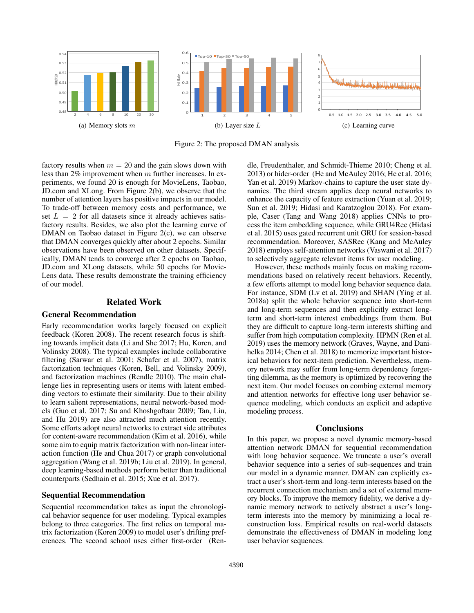![](_page_6_Figure_0.jpeg)

Figure 2: The proposed DMAN analysis

factory results when  $m = 20$  and the gain slows down with less than 2% improvement when m further increases. In experiments, we found 20 is enough for MovieLens, Taobao, JD.com and XLong. From Figure 2(b), we observe that the number of attention layers has positive impacts in our model. To trade-off between memory costs and performance, we set  $L = 2$  for all datasets since it already achieves satisfactory results. Besides, we also plot the learning curve of DMAN on Taobao dataset in Figure 2(c), we can observe that DMAN converges quickly after about 2 epochs. Similar observations have been observed on other datasets. Specifically, DMAN tends to converge after 2 epochs on Taobao, JD.com and XLong datasets, while 50 epochs for Movie-Lens data. These results demonstrate the training efficiency of our model.

## Related Work

#### General Recommendation

Early recommendation works largely focused on explicit feedback (Koren 2008). The recent research focus is shifting towards implicit data (Li and She 2017; Hu, Koren, and Volinsky 2008). The typical examples include collaborative filtering (Sarwar et al. 2001; Schafer et al. 2007), matrix factorization techniques (Koren, Bell, and Volinsky 2009), and factorization machines (Rendle 2010). The main challenge lies in representing users or items with latent embedding vectors to estimate their similarity. Due to their ability to learn salient representations, neural network-based models (Guo et al. 2017; Su and Khoshgoftaar 2009; Tan, Liu, and Hu 2019) are also attracted much attention recently. Some efforts adopt neural networks to extract side attributes for content-aware recommendation (Kim et al. 2016), while some aim to equip matrix factorization with non-linear interaction function (He and Chua 2017) or graph convolutional aggregation (Wang et al. 2019b; Liu et al. 2019). In general, deep learning-based methods perform better than traditional counterparts (Sedhain et al. 2015; Xue et al. 2017).

## Sequential Recommendation

Sequential recommendation takes as input the chronological behavior sequence for user modeling. Typical examples belong to three categories. The first relies on temporal matrix factorization (Koren 2009) to model user's drifting preferences. The second school uses either first-order (Rendle, Freudenthaler, and Schmidt-Thieme 2010; Cheng et al. 2013) or hider-order (He and McAuley 2016; He et al. 2016; Yan et al. 2019) Markov-chains to capture the user state dynamics. The third stream applies deep neural networks to enhance the capacity of feature extraction (Yuan et al. 2019; Sun et al. 2019; Hidasi and Karatzoglou 2018). For example, Caser (Tang and Wang 2018) applies CNNs to process the item embedding sequence, while GRU4Rec (Hidasi et al. 2015) uses gated recurrent unit GRU for session-based recommendation. Moreover, SASRec (Kang and McAuley 2018) employs self-attention networks (Vaswani et al. 2017) to selectively aggregate relevant items for user modeling.

However, these methods mainly focus on making recommendations based on relatively recent behaviors. Recently, a few efforts attempt to model long behavior sequence data. For instance, SDM (Lv et al. 2019) and SHAN (Ying et al. 2018a) split the whole behavior sequence into short-term and long-term sequences and then explicitly extract longterm and short-term interest embeddings from them. But they are difficult to capture long-term interests shifting and suffer from high computation complexity. HPMN (Ren et al. 2019) uses the memory network (Graves, Wayne, and Danihelka 2014; Chen et al. 2018) to memorize important historical behaviors for next-item prediction. Nevertheless, memory network may suffer from long-term dependency forgetting dilemma, as the memory is optimized by recovering the next item. Our model focuses on combing external memory and attention networks for effective long user behavior sequence modeling, which conducts an explicit and adaptive modeling process.

#### **Conclusions**

In this paper, we propose a novel dynamic memory-based attention network DMAN for sequential recommendation with long behavior sequence. We truncate a user's overall behavior sequence into a series of sub-sequences and train our model in a dynamic manner. DMAN can explicitly extract a user's short-term and long-term interests based on the recurrent connection mechanism and a set of external memory blocks. To improve the memory fidelity, we derive a dynamic memory network to actively abstract a user's longterm interests into the memory by minimizing a local reconstruction loss. Empirical results on real-world datasets demonstrate the effectiveness of DMAN in modeling long user behavior sequences.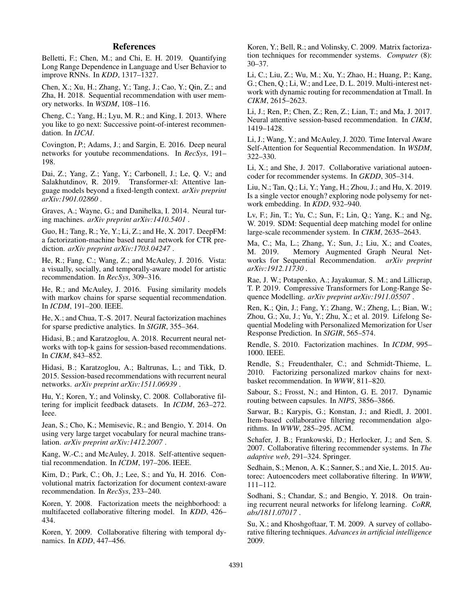## References

Belletti, F.; Chen, M.; and Chi, E. H. 2019. Quantifying Long Range Dependence in Language and User Behavior to improve RNNs. In *KDD*, 1317–1327.

Chen, X.; Xu, H.; Zhang, Y.; Tang, J.; Cao, Y.; Qin, Z.; and Zha, H. 2018. Sequential recommendation with user memory networks. In *WSDM*, 108–116.

Cheng, C.; Yang, H.; Lyu, M. R.; and King, I. 2013. Where you like to go next: Successive point-of-interest recommendation. In *IJCAI*.

Covington, P.; Adams, J.; and Sargin, E. 2016. Deep neural networks for youtube recommendations. In *RecSys*, 191– 198.

Dai, Z.; Yang, Z.; Yang, Y.; Carbonell, J.; Le, Q. V.; and Salakhutdinov, R. 2019. Transformer-xl: Attentive language models beyond a fixed-length context. *arXiv preprint arXiv:1901.02860* .

Graves, A.; Wayne, G.; and Danihelka, I. 2014. Neural turing machines. *arXiv preprint arXiv:1410.5401* .

Guo, H.; Tang, R.; Ye, Y.; Li, Z.; and He, X. 2017. DeepFM: a factorization-machine based neural network for CTR prediction. *arXiv preprint arXiv:1703.04247* .

He, R.; Fang, C.; Wang, Z.; and McAuley, J. 2016. Vista: a visually, socially, and temporally-aware model for artistic recommendation. In *RecSys*, 309–316.

He, R.; and McAuley, J. 2016. Fusing similarity models with markov chains for sparse sequential recommendation. In *ICDM*, 191–200. IEEE.

He, X.; and Chua, T.-S. 2017. Neural factorization machines for sparse predictive analytics. In *SIGIR*, 355–364.

Hidasi, B.; and Karatzoglou, A. 2018. Recurrent neural networks with top-k gains for session-based recommendations. In *CIKM*, 843–852.

Hidasi, B.; Karatzoglou, A.; Baltrunas, L.; and Tikk, D. 2015. Session-based recommendations with recurrent neural networks. *arXiv preprint arXiv:1511.06939* .

Hu, Y.; Koren, Y.; and Volinsky, C. 2008. Collaborative filtering for implicit feedback datasets. In *ICDM*, 263–272. Ieee.

Jean, S.; Cho, K.; Memisevic, R.; and Bengio, Y. 2014. On using very large target vocabulary for neural machine translation. *arXiv preprint arXiv:1412.2007* .

Kang, W.-C.; and McAuley, J. 2018. Self-attentive sequential recommendation. In *ICDM*, 197–206. IEEE.

Kim, D.; Park, C.; Oh, J.; Lee, S.; and Yu, H. 2016. Convolutional matrix factorization for document context-aware recommendation. In *RecSys*, 233–240.

Koren, Y. 2008. Factorization meets the neighborhood: a multifaceted collaborative filtering model. In *KDD*, 426– 434.

Koren, Y. 2009. Collaborative filtering with temporal dynamics. In *KDD*, 447–456.

Koren, Y.; Bell, R.; and Volinsky, C. 2009. Matrix factorization techniques for recommender systems. *Computer* (8): 30–37.

Li, C.; Liu, Z.; Wu, M.; Xu, Y.; Zhao, H.; Huang, P.; Kang, G.; Chen, Q.; Li, W.; and Lee, D. L. 2019. Multi-interest network with dynamic routing for recommendation at Tmall. In *CIKM*, 2615–2623.

Li, J.; Ren, P.; Chen, Z.; Ren, Z.; Lian, T.; and Ma, J. 2017. Neural attentive session-based recommendation. In *CIKM*, 1419–1428.

Li, J.; Wang, Y.; and McAuley, J. 2020. Time Interval Aware Self-Attention for Sequential Recommendation. In *WSDM*, 322–330.

Li, X.; and She, J. 2017. Collaborative variational autoencoder for recommender systems. In *GKDD*, 305–314.

Liu, N.; Tan, Q.; Li, Y.; Yang, H.; Zhou, J.; and Hu, X. 2019. Is a single vector enough? exploring node polysemy for network embedding. In *KDD*, 932–940.

Lv, F.; Jin, T.; Yu, C.; Sun, F.; Lin, Q.; Yang, K.; and Ng, W. 2019. SDM: Sequential deep matching model for online large-scale recommender system. In *CIKM*, 2635–2643.

Ma, C.; Ma, L.; Zhang, Y.; Sun, J.; Liu, X.; and Coates, M. 2019. Memory Augmented Graph Neural Networks for Sequential Recommendation. *arXiv preprint arXiv:1912.11730* .

Rae, J. W.; Potapenko, A.; Jayakumar, S. M.; and Lillicrap, T. P. 2019. Compressive Transformers for Long-Range Sequence Modelling. *arXiv preprint arXiv:1911.05507* .

Ren, K.; Qin, J.; Fang, Y.; Zhang, W.; Zheng, L.; Bian, W.; Zhou, G.; Xu, J.; Yu, Y.; Zhu, X.; et al. 2019. Lifelong Sequential Modeling with Personalized Memorization for User Response Prediction. In *SIGIR*, 565–574.

Rendle, S. 2010. Factorization machines. In *ICDM*, 995– 1000. IEEE.

Rendle, S.; Freudenthaler, C.; and Schmidt-Thieme, L. 2010. Factorizing personalized markov chains for nextbasket recommendation. In *WWW*, 811–820.

Sabour, S.; Frosst, N.; and Hinton, G. E. 2017. Dynamic routing between capsules. In *NIPS*, 3856–3866.

Sarwar, B.; Karypis, G.; Konstan, J.; and Riedl, J. 2001. Item-based collaborative filtering recommendation algorithms. In *WWW*, 285–295. ACM.

Schafer, J. B.; Frankowski, D.; Herlocker, J.; and Sen, S. 2007. Collaborative filtering recommender systems. In *The adaptive web*, 291–324. Springer.

Sedhain, S.; Menon, A. K.; Sanner, S.; and Xie, L. 2015. Autorec: Autoencoders meet collaborative filtering. In *WWW*, 111–112.

Sodhani, S.; Chandar, S.; and Bengio, Y. 2018. On training recurrent neural networks for lifelong learning. *CoRR, abs/1811.07017* .

Su, X.; and Khoshgoftaar, T. M. 2009. A survey of collaborative filtering techniques. *Advances in artificial intelligence* 2009.